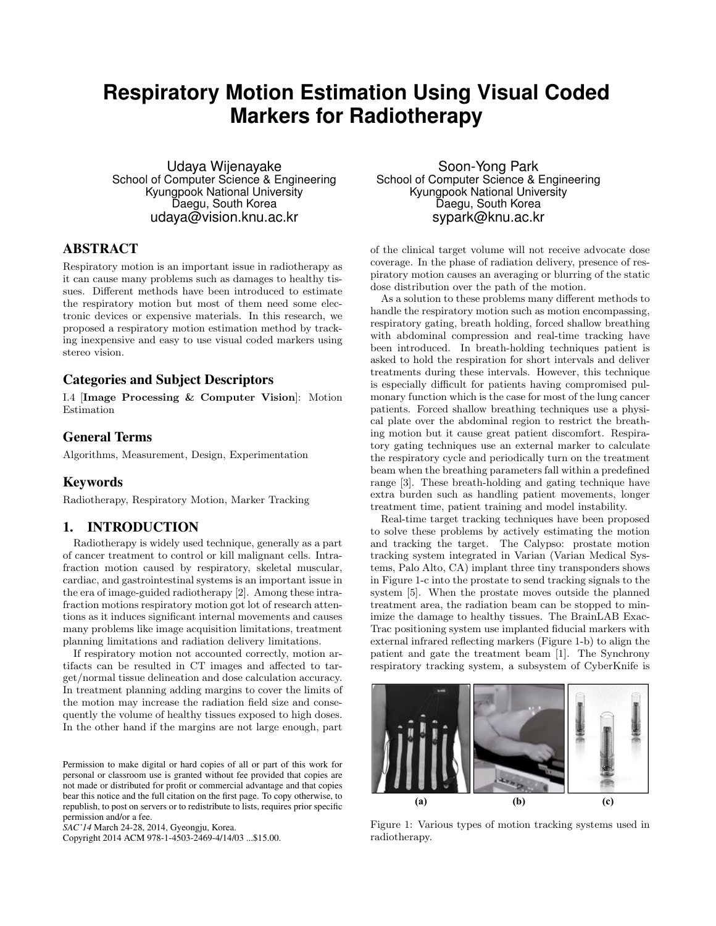# **Respiratory Motion Estimation Using Visual Coded Markers for Radiotherapy**

Udaya Wijenayake School of Computer Science & Engineering Kyungpook National University Daegu, South Korea udaya@vision.knu.ac.kr

## ABSTRACT

Respiratory motion is an important issue in radiotherapy as it can cause many problems such as damages to healthy tissues. Different methods have been introduced to estimate the respiratory motion but most of them need some electronic devices or expensive materials. In this research, we proposed a respiratory motion estimation method by tracking inexpensive and easy to use visual coded markers using stereo vision.

## Categories and Subject Descriptors

I.4 [Image Processing & Computer Vision]: Motion Estimation

# General Terms

Algorithms, Measurement, Design, Experimentation

### Keywords

Radiotherapy, Respiratory Motion, Marker Tracking

## 1. INTRODUCTION

Radiotherapy is widely used technique, generally as a part of cancer treatment to control or kill malignant cells. Intrafraction motion caused by respiratory, skeletal muscular, cardiac, and gastrointestinal systems is an important issue in the era of image-guided radiotherapy [2]. Among these intrafraction motions respiratory motion got lot of research attentions as it induces significant internal movements and causes many problems like image acquisition limitations, treatment planning limitations and radiation delivery limitations.

If respiratory motion not accounted correctly, motion artifacts can be resulted in CT images and affected to target/normal tissue delineation and dose calculation accuracy. In treatment planning adding margins to cover the limits of the motion may increase the radiation field size and consequently the volume of healthy tissues exposed to high doses. In the other hand if the margins are not large enough, part

*SAC'14* March 24-28, 2014, Gyeongju, Korea.

Copyright 2014 ACM 978-1-4503-2469-4/14/03 ...\$15.00.

Soon-Yong Park School of Computer Science & Engineering Kyungpook National University Daegu, South Korea sypark@knu.ac.kr

of the clinical target volume will not receive advocate dose coverage. In the phase of radiation delivery, presence of respiratory motion causes an averaging or blurring of the static dose distribution over the path of the motion.

As a solution to these problems many different methods to handle the respiratory motion such as motion encompassing, respiratory gating, breath holding, forced shallow breathing with abdominal compression and real-time tracking have been introduced. In breath-holding techniques patient is asked to hold the respiration for short intervals and deliver treatments during these intervals. However, this technique is especially difficult for patients having compromised pulmonary function which is the case for most of the lung cancer patients. Forced shallow breathing techniques use a physical plate over the abdominal region to restrict the breathing motion but it cause great patient discomfort. Respiratory gating techniques use an external marker to calculate the respiratory cycle and periodically turn on the treatment beam when the breathing parameters fall within a predefined range [3]. These breath-holding and gating technique have extra burden such as handling patient movements, longer treatment time, patient training and model instability.

Real-time target tracking techniques have been proposed to solve these problems by actively estimating the motion and tracking the target. The Calypso: prostate motion tracking system integrated in Varian (Varian Medical Systems, Palo Alto, CA) implant three tiny transponders shows in Figure 1-c into the prostate to send tracking signals to the system [5]. When the prostate moves outside the planned treatment area, the radiation beam can be stopped to minimize the damage to healthy tissues. The BrainLAB Exac-Trac positioning system use implanted fiducial markers with external infrared reflecting markers (Figure 1-b) to align the patient and gate the treatment beam [1]. The Synchrony respiratory tracking system, a subsystem of CyberKnife is



Figure 1: Various types of motion tracking systems used in radiotherapy.

Permission to make digital or hard copies of all or part of this work for personal or classroom use is granted without fee provided that copies are not made or distributed for profit or commercial advantage and that copies bear this notice and the full citation on the first page. To copy otherwise, to republish, to post on servers or to redistribute to lists, requires prior specific permission and/or a fee.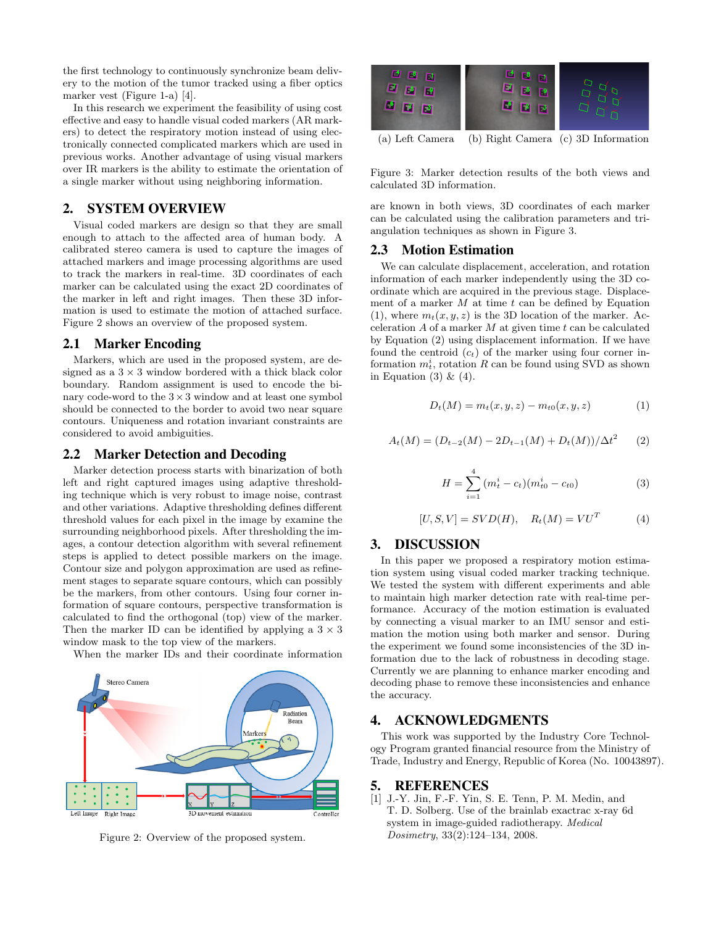the first technology to continuously synchronize beam delivery to the motion of the tumor tracked using a fiber optics marker vest (Figure 1-a) [4].

In this research we experiment the feasibility of using cost effective and easy to handle visual coded markers (AR markers) to detect the respiratory motion instead of using electronically connected complicated markers which are used in previous works. Another advantage of using visual markers over IR markers is the ability to estimate the orientation of a single marker without using neighboring information.

## 2. SYSTEM OVERVIEW

Visual coded markers are design so that they are small enough to attach to the affected area of human body. A calibrated stereo camera is used to capture the images of attached markers and image processing algorithms are used to track the markers in real-time. 3D coordinates of each marker can be calculated using the exact 2D coordinates of the marker in left and right images. Then these 3D information is used to estimate the motion of attached surface. Figure 2 shows an overview of the proposed system.

## 2.1 Marker Encoding

Markers, which are used in the proposed system, are designed as a  $3 \times 3$  window bordered with a thick black color boundary. Random assignment is used to encode the binary code-word to the  $3 \times 3$  window and at least one symbol should be connected to the border to avoid two near square contours. Uniqueness and rotation invariant constraints are considered to avoid ambiguities.

#### 2.2 Marker Detection and Decoding

Marker detection process starts with binarization of both left and right captured images using adaptive thresholding technique which is very robust to image noise, contrast and other variations. Adaptive thresholding defines different threshold values for each pixel in the image by examine the surrounding neighborhood pixels. After thresholding the images, a contour detection algorithm with several refinement steps is applied to detect possible markers on the image. Contour size and polygon approximation are used as refinement stages to separate square contours, which can possibly be the markers, from other contours. Using four corner information of square contours, perspective transformation is calculated to find the orthogonal (top) view of the marker. Then the marker ID can be identified by applying a  $3 \times 3$ window mask to the top view of the markers.

When the marker IDs and their coordinate information



Figure 2: Overview of the proposed system.



Figure 3: Marker detection results of the both views and calculated 3D information.

are known in both views, 3D coordinates of each marker can be calculated using the calibration parameters and triangulation techniques as shown in Figure 3.

## 2.3 Motion Estimation

We can calculate displacement, acceleration, and rotation information of each marker independently using the 3D coordinate which are acquired in the previous stage. Displacement of a marker  $M$  at time  $t$  can be defined by Equation (1), where  $m_t(x, y, z)$  is the 3D location of the marker. Acceleration  $A$  of a marker  $M$  at given time  $t$  can be calculated by Equation (2) using displacement information. If we have found the centroid  $(c_t)$  of the marker using four corner information  $m_t^i$ , rotation R can be found using SVD as shown in Equation (3)  $\&$  (4).

$$
D_t(M) = m_t(x, y, z) - m_{t0}(x, y, z)
$$
 (1)

$$
A_t(M) = (D_{t-2}(M) - 2D_{t-1}(M) + D_t(M))/\Delta t^2 \qquad (2)
$$

$$
H = \sum_{i=1}^{4} (m_t^i - c_t)(m_{t0}^i - c_{t0})
$$
\n(3)

$$
[U, S, V] = SVD(H), \quad R_t(M) = VU^T \tag{4}
$$

### 3. DISCUSSION

In this paper we proposed a respiratory motion estimation system using visual coded marker tracking technique. We tested the system with different experiments and able to maintain high marker detection rate with real-time performance. Accuracy of the motion estimation is evaluated by connecting a visual marker to an IMU sensor and estimation the motion using both marker and sensor. During the experiment we found some inconsistencies of the 3D information due to the lack of robustness in decoding stage. Currently we are planning to enhance marker encoding and decoding phase to remove these inconsistencies and enhance the accuracy.

# 4. ACKNOWLEDGMENTS

This work was supported by the Industry Core Technology Program granted financial resource from the Ministry of Trade, Industry and Energy, Republic of Korea (No. 10043897).

#### 5. REFERENCES

[1] J.-Y. Jin, F.-F. Yin, S. E. Tenn, P. M. Medin, and T. D. Solberg. Use of the brainlab exactrac x-ray 6d system in image-guided radiotherapy. Medical Dosimetry, 33(2):124–134, 2008.